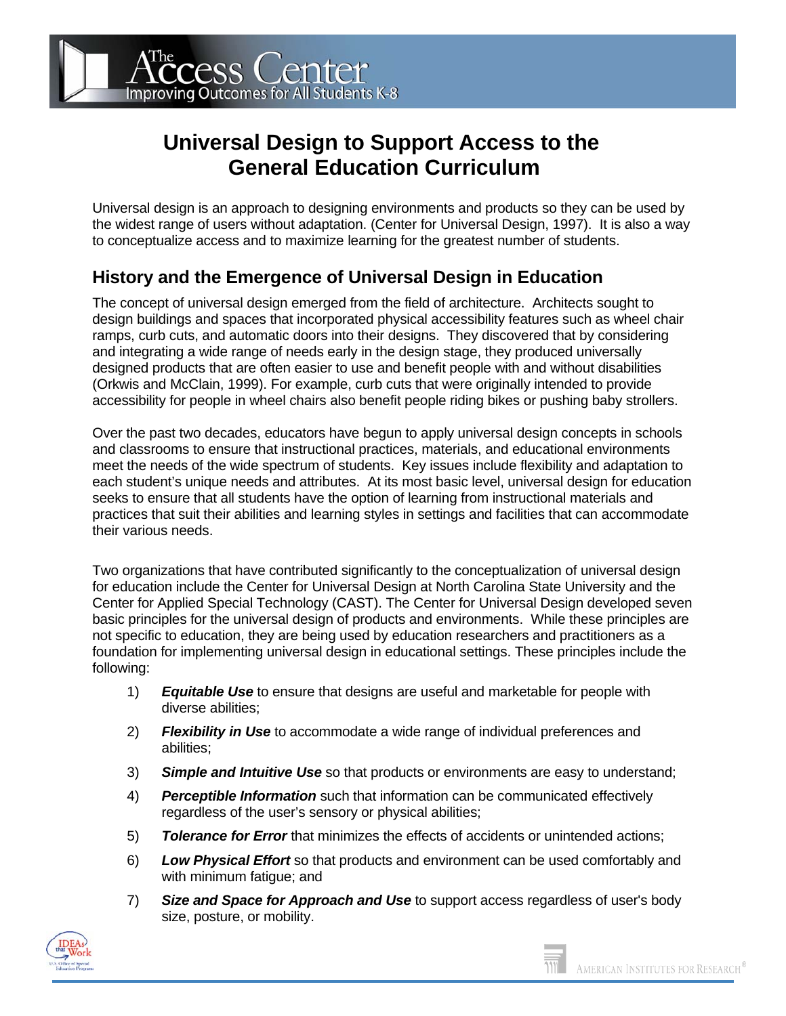# **Universal Design to Support Access to the General Education Curriculum**

Universal design is an approach to designing environments and products so they can be used by the widest range of users without adaptation. (Center for Universal Design, 1997). It is also a way to conceptualize access and to maximize learning for the greatest number of students.

## **History and the Emergence of Universal Design in Education**

The concept of universal design emerged from the field of architecture. Architects sought to design buildings and spaces that incorporated physical accessibility features such as wheel chair ramps, curb cuts, and automatic doors into their designs. They discovered that by considering and integrating a wide range of needs early in the design stage, they produced universally designed products that are often easier to use and benefit people with and without disabilities (Orkwis and McClain, 1999). For example, curb cuts that were originally intended to provide accessibility for people in wheel chairs also benefit people riding bikes or pushing baby strollers.

Over the past two decades, educators have begun to apply universal design concepts in schools and classrooms to ensure that instructional practices, materials, and educational environments meet the needs of the wide spectrum of students. Key issues include flexibility and adaptation to each student's unique needs and attributes. At its most basic level, universal design for education seeks to ensure that all students have the option of learning from instructional materials and practices that suit their abilities and learning styles in settings and facilities that can accommodate their various needs.

Two organizations that have contributed significantly to the conceptualization of universal design for education include the Center for Universal Design at North Carolina State University and the Center for Applied Special Technology (CAST). The Center for Universal Design developed seven basic principles for the universal design of products and environments. While these principles are not specific to education, they are being used by education researchers and practitioners as a foundation for implementing universal design in educational settings. These principles include the following:

- 1) *Equitable Use* to ensure that designs are useful and marketable for people with diverse abilities;
- 2) *Flexibility in Use* to accommodate a wide range of individual preferences and abilities;
- 3) *Simple and Intuitive Use* so that products or environments are easy to understand;
- 4) *Perceptible Information* such that information can be communicated effectively regardless of the user's sensory or physical abilities;
- 5) *Tolerance for Error* that minimizes the effects of accidents or unintended actions;
- 6) *Low Physical Effort* so that products and environment can be used comfortably and with minimum fatique; and
- 7) *Size and Space for Approach and Use* to support access regardless of user's body size, posture, or mobility.



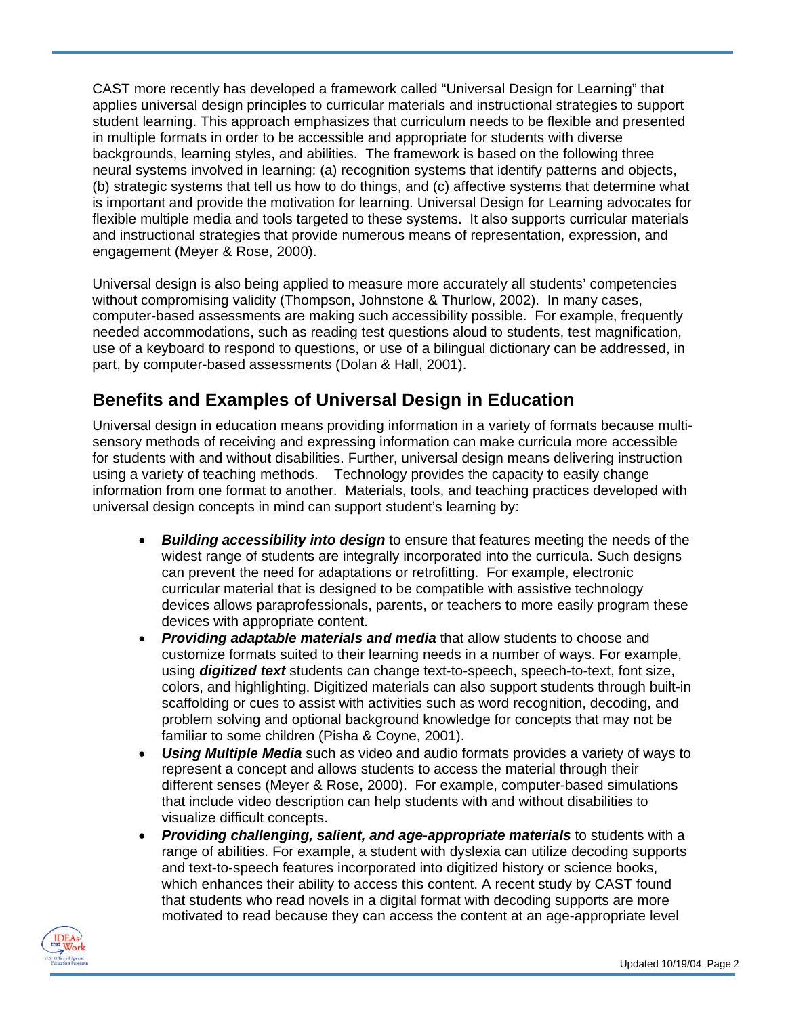CAST more recently has developed a framework called "Universal Design for Learning" that applies universal design principles to curricular materials and instructional strategies to support student learning. This approach emphasizes that curriculum needs to be flexible and presented in multiple formats in order to be accessible and appropriate for students with diverse backgrounds, learning styles, and abilities. The framework is based on the following three neural systems involved in learning: (a) recognition systems that identify patterns and objects, (b) strategic systems that tell us how to do things, and (c) affective systems that determine what is important and provide the motivation for learning. Universal Design for Learning advocates for flexible multiple media and tools targeted to these systems. It also supports curricular materials and instructional strategies that provide numerous means of representation, expression, and engagement (Meyer & Rose, 2000).

Universal design is also being applied to measure more accurately all students' competencies without compromising validity (Thompson, Johnstone & Thurlow, 2002). In many cases, computer-based assessments are making such accessibility possible. For example, frequently needed accommodations, such as reading test questions aloud to students, test magnification, use of a keyboard to respond to questions, or use of a bilingual dictionary can be addressed, in part, by computer-based assessments (Dolan & Hall, 2001).

### **Benefits and Examples of Universal Design in Education**

Universal design in education means providing information in a variety of formats because multisensory methods of receiving and expressing information can make curricula more accessible for students with and without disabilities. Further, universal design means delivering instruction using a variety of teaching methods. Technology provides the capacity to easily change information from one format to another. Materials, tools, and teaching practices developed with universal design concepts in mind can support student's learning by:

- *Building accessibility into design* to ensure that features meeting the needs of the widest range of students are integrally incorporated into the curricula. Such designs can prevent the need for adaptations or retrofitting. For example, electronic curricular material that is designed to be compatible with assistive technology devices allows paraprofessionals, parents, or teachers to more easily program these devices with appropriate content.
- *Providing adaptable materials and media* that allow students to choose and customize formats suited to their learning needs in a number of ways. For example, using *digitized text* students can change text-to-speech, speech-to-text, font size, colors, and highlighting. Digitized materials can also support students through built-in scaffolding or cues to assist with activities such as word recognition, decoding, and problem solving and optional background knowledge for concepts that may not be familiar to some children (Pisha & Coyne, 2001).
- *Using Multiple Media* such as video and audio formats provides a variety of ways to represent a concept and allows students to access the material through their different senses (Meyer & Rose, 2000). For example, computer-based simulations that include video description can help students with and without disabilities to visualize difficult concepts.
- *Providing challenging, salient, and age-appropriate materials* to students with a range of abilities. For example, a student with dyslexia can utilize decoding supports and text-to-speech features incorporated into digitized history or science books, which enhances their ability to access this content. A recent study by CAST found that students who read novels in a digital format with decoding supports are more motivated to read because they can access the content at an age-appropriate level

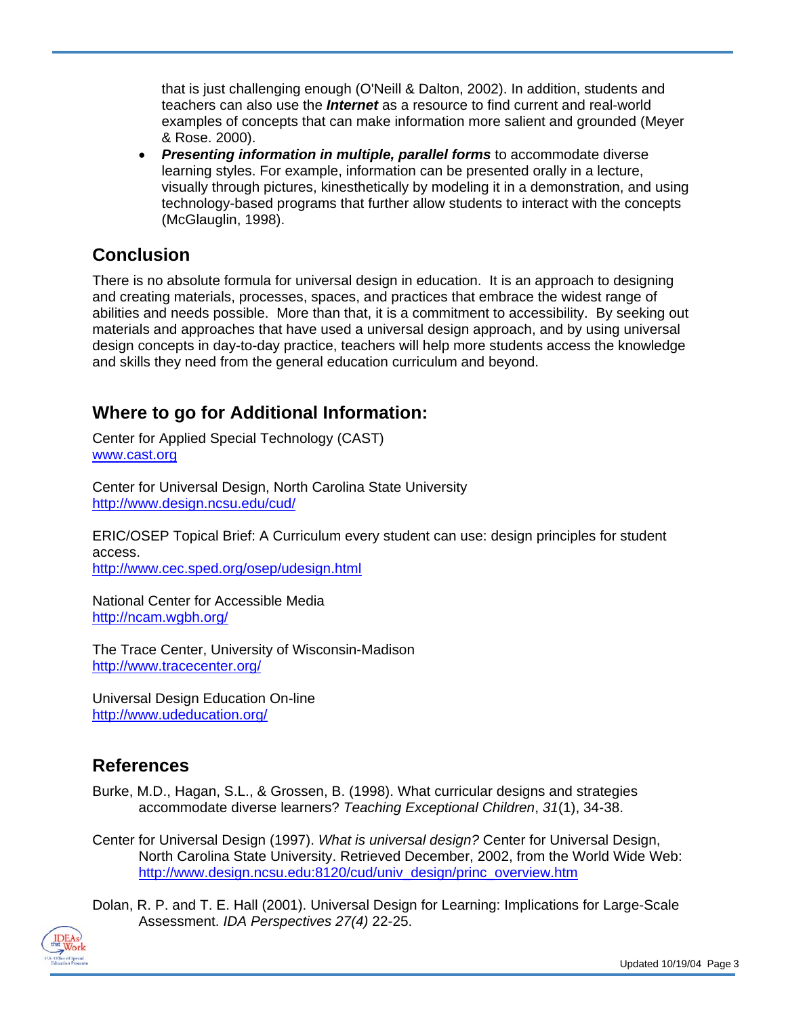that is just challenging enough (O'Neill & Dalton, 2002). In addition, students and teachers can also use the *Internet* as a resource to find current and real-world examples of concepts that can make information more salient and grounded (Meyer & Rose. 2000).

• *Presenting information in multiple, parallel forms* to accommodate diverse learning styles. For example, information can be presented orally in a lecture, visually through pictures, kinesthetically by modeling it in a demonstration, and using technology-based programs that further allow students to interact with the concepts (McGlauglin, 1998).

### **Conclusion**

There is no absolute formula for universal design in education. It is an approach to designing and creating materials, processes, spaces, and practices that embrace the widest range of abilities and needs possible. More than that, it is a commitment to accessibility. By seeking out materials and approaches that have used a universal design approach, and by using universal design concepts in day-to-day practice, teachers will help more students access the knowledge and skills they need from the general education curriculum and beyond.

## **Where to go for Additional Information:**

Center for Applied Special Technology (CAST) [www.cast.org](http://www.cast.org/)

Center for Universal Design, North Carolina State University <http://www.design.ncsu.edu/cud/>

ERIC/OSEP Topical Brief: A Curriculum every student can use: design principles for student access. <http://www.cec.sped.org/osep/udesign.html>

National Center for Accessible Media <http://ncam.wgbh.org/>

The Trace Center, University of Wisconsin-Madison <http://www.tracecenter.org/>

Universal Design Education On-line <http://www.udeducation.org/>

## **References**

Burke, M.D., Hagan, S.L., & Grossen, B. (1998). What curricular designs and strategies accommodate diverse learners? *Teaching Exceptional Children*, *31*(1), 34-38.

- Center for Universal Design (1997). *What is universal design?* Center for Universal Design, North Carolina State University. Retrieved December, 2002, from the World Wide Web: [http://www.design.ncsu.edu:8120/cud/univ\\_design/princ\\_overview.htm](http://www.design.ncsu.edu:8120/cud/univ_design/princ_overview.htm)
- Dolan, R. P. and T. E. Hall (2001). Universal Design for Learning: Implications for Large-Scale Assessment. *IDA Perspectives 27(4)* 22-25.